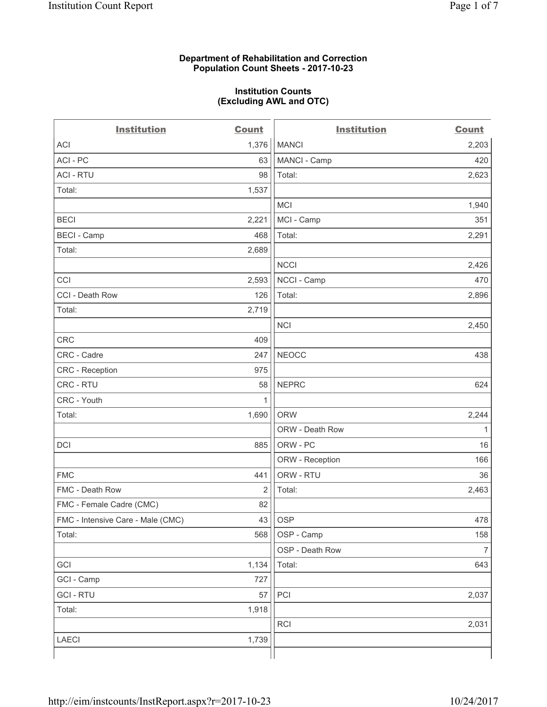#### **Department of Rehabilitation and Correction Population Count Sheets - 2017-10-23**

#### **Institution Counts (Excluding AWL and OTC)**

 $-$ 

| <b>Institution</b>                | <b>Count</b> | <b>Institution</b> | <b>Count</b>   |
|-----------------------------------|--------------|--------------------|----------------|
| ACI                               | 1,376        | <b>MANCI</b>       | 2,203          |
| ACI-PC                            | 63           | MANCI - Camp       | 420            |
| <b>ACI - RTU</b>                  | 98           | Total:             | 2,623          |
| Total:                            | 1,537        |                    |                |
|                                   |              | MCI                | 1,940          |
| <b>BECI</b>                       | 2,221        | MCI - Camp         | 351            |
| <b>BECI</b> - Camp                | 468          | Total:             | 2,291          |
| Total:                            | 2,689        |                    |                |
|                                   |              | <b>NCCI</b>        | 2,426          |
| CCI                               | 2,593        | NCCI - Camp        | 470            |
| CCI - Death Row                   | 126          | Total:             | 2,896          |
| Total:                            | 2,719        |                    |                |
|                                   |              | <b>NCI</b>         | 2,450          |
| <b>CRC</b>                        | 409          |                    |                |
| CRC - Cadre                       | 247          | <b>NEOCC</b>       | 438            |
| CRC - Reception                   | 975          |                    |                |
| CRC - RTU                         | 58           | <b>NEPRC</b>       | 624            |
| CRC - Youth                       | 1            |                    |                |
| Total:                            | 1,690        | <b>ORW</b>         | 2,244          |
|                                   |              | ORW - Death Row    | 1              |
| DCI                               | 885          | ORW - PC           | 16             |
|                                   |              | ORW - Reception    | 166            |
| <b>FMC</b>                        | 441          | ORW - RTU          | 36             |
| FMC - Death Row                   | 2            | Total:             | 2,463          |
| FMC - Female Cadre (CMC)          | 82           |                    |                |
| FMC - Intensive Care - Male (CMC) | 43           | <b>OSP</b>         | 478            |
| Total:                            | 568          | OSP - Camp         | 158            |
|                                   |              | OSP - Death Row    | $\overline{7}$ |
| GCI                               | 1,134        | Total:             | 643            |
| GCI - Camp                        | 727          |                    |                |
| <b>GCI-RTU</b>                    | 57           | PCI                | 2,037          |
| Total:                            | 1,918        |                    |                |
|                                   |              | <b>RCI</b>         | 2,031          |
| LAECI                             | 1,739        |                    |                |
|                                   |              |                    |                |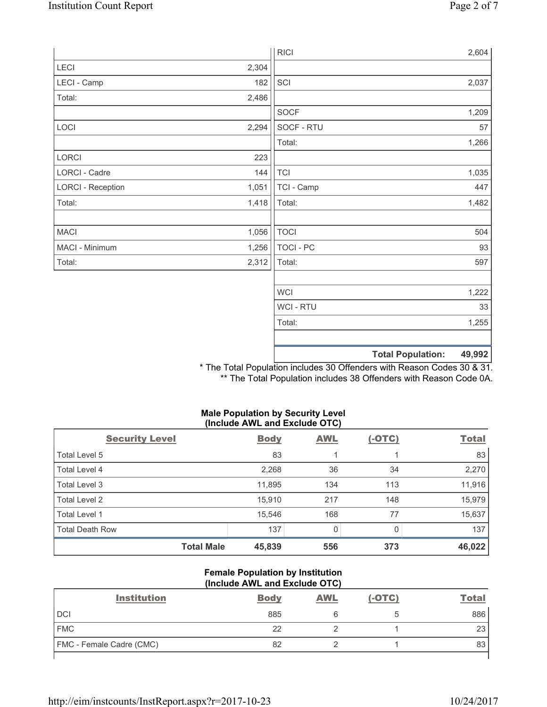|                          |       | <b>RICI</b> | 2,604                              |
|--------------------------|-------|-------------|------------------------------------|
| LECI                     | 2,304 |             |                                    |
| LECI - Camp              | 182   | SCI         | 2,037                              |
| Total:                   | 2,486 |             |                                    |
|                          |       | SOCF        | 1,209                              |
| LOCI                     | 2,294 | SOCF - RTU  | 57                                 |
|                          |       | Total:      | 1,266                              |
| LORCI                    | 223   |             |                                    |
| LORCI - Cadre            | 144   | <b>TCI</b>  | 1,035                              |
| <b>LORCI - Reception</b> | 1,051 | TCI - Camp  | 447                                |
| Total:                   | 1,418 | Total:      | 1,482                              |
|                          |       |             |                                    |
| <b>MACI</b>              | 1,056 | <b>TOCI</b> | 504                                |
| MACI - Minimum           | 1,256 | TOCI - PC   | 93                                 |
| Total:                   | 2,312 | Total:      | 597                                |
|                          |       |             |                                    |
|                          |       | <b>WCI</b>  | 1,222                              |
|                          |       | WCI - RTU   | 33                                 |
|                          |       | Total:      | 1,255                              |
|                          |       |             |                                    |
|                          |       |             | <b>Total Population:</b><br>49,992 |

\* The Total Population includes 30 Offenders with Reason Codes 30 & 31. \*\* The Total Population includes 38 Offenders with Reason Code 0A.

## **Male Population by Security Level (Include AWL and Exclude OTC)**

| <b>Security Level</b>  | <b>Body</b> | <b>AWL</b> | $(-OTC)$ | <b>Total</b> |
|------------------------|-------------|------------|----------|--------------|
| Total Level 5          | 83          |            |          | 83           |
| Total Level 4          | 2,268       | 36         | 34       | 2,270        |
| Total Level 3          | 11,895      | 134        | 113      | 11,916       |
| Total Level 2          | 15,910      | 217        | 148      | 15,979       |
| Total Level 1          | 15,546      | 168        | 77       | 15,637       |
| <b>Total Death Row</b> | 137         | 0          | 0        | 137          |
| <b>Total Male</b>      | 45,839      | 556        | 373      | 46,022       |

#### **Female Population by Institution (Include AWL and Exclude OTC)**

| <b>Institution</b>              | <b>Body</b> | <b>AWL</b> | $(-OTC)$ | <b>Total</b> |
|---------------------------------|-------------|------------|----------|--------------|
| <b>DCI</b>                      | 885         |            |          | 886          |
| <b>FMC</b>                      | 22          |            |          | 23           |
| <b>FMC</b> - Female Cadre (CMC) | 82          |            |          | 83           |
|                                 |             |            |          |              |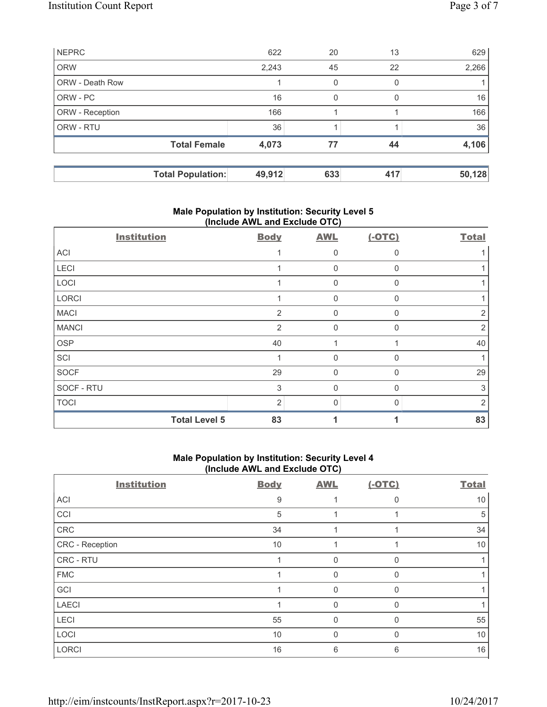|                 | <b>Total Population:</b> | 49,912 | 633 | 417 | 50,128 |
|-----------------|--------------------------|--------|-----|-----|--------|
|                 | <b>Total Female</b>      | 4,073  | 77  | 44  | 4,106  |
| ORW - RTU       |                          | 36     |     |     | 36     |
| ORW - Reception |                          | 166    |     |     | 166    |
| ORW - PC        |                          | 16     | 0   | 0   | 16     |
| ORW - Death Row |                          |        | 0   | 0   |        |
| <b>ORW</b>      |                          | 2,243  | 45  | 22  | 2,266  |
| <b>NEPRC</b>    |                          | 622    | 20  | 13  | 629    |

## **Male Population by Institution: Security Level 5 (Include AWL and Exclude OTC)**

| <b>Institution</b>   | <b>Body</b>    | <b>AWL</b>     | $(-OTC)$     | <b>Total</b>   |
|----------------------|----------------|----------------|--------------|----------------|
| <b>ACI</b>           |                | 0              | $\Omega$     |                |
| LECI                 |                | 0              | $\mathbf{0}$ |                |
| LOCI                 |                | $\Omega$       | $\mathbf{0}$ |                |
| LORCI                | 1              | 0              | 0            |                |
| <b>MACI</b>          | $\overline{2}$ | $\mathbf 0$    | $\mathbf{0}$ | 2              |
| <b>MANCI</b>         | $\overline{2}$ | $\Omega$       | $\Omega$     | 2              |
| <b>OSP</b>           | 40             |                |              | 40             |
| SCI                  |                | $\Omega$       | $\Omega$     |                |
| SOCF                 | 29             | $\overline{0}$ | $\Omega$     | 29             |
| SOCF - RTU           | 3              | $\mathbf 0$    | $\mathbf{0}$ | 3              |
| <b>TOCI</b>          | $\overline{2}$ | 0              | 0            | $\overline{2}$ |
| <b>Total Level 5</b> | 83             |                |              | 83             |

# **Male Population by Institution: Security Level 4 (Include AWL and Exclude OTC)**

| <b>Institution</b> | <b>Body</b> | <b>AWL</b>   | $(-OTC)$ | <b>Total</b> |
|--------------------|-------------|--------------|----------|--------------|
| ACI                | 9           |              | $\Omega$ | 10           |
| CCI                | 5           |              |          | 5            |
| CRC                | 34          |              |          | 34           |
| CRC - Reception    | 10          |              |          | 10           |
| CRC - RTU          |             | 0            | 0        |              |
| <b>FMC</b>         |             | $\mathbf{0}$ |          |              |
| GCI                |             | $\Omega$     |          |              |
| <b>LAECI</b>       |             | $\mathbf 0$  | $\Omega$ |              |
| <b>LECI</b>        | 55          | $\mathbf 0$  | 0        | 55           |
| LOCI               | 10          | $\mathbf 0$  | 0        | 10           |
| <b>LORCI</b>       | 16          | 6            | 6        | 16           |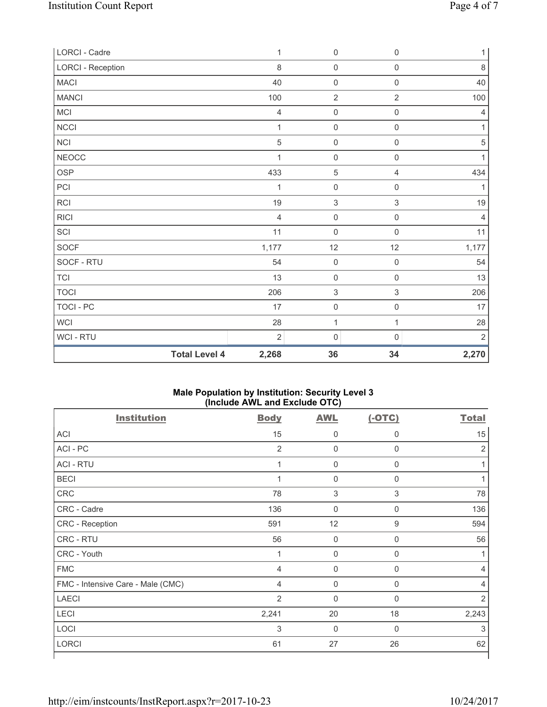| LORCI - Cadre            | 1              | 0                         | $\boldsymbol{0}$          | 1              |
|--------------------------|----------------|---------------------------|---------------------------|----------------|
| <b>LORCI - Reception</b> | 8              | $\mathsf{O}\xspace$       | $\mathsf{O}\xspace$       | $\,8\,$        |
| <b>MACI</b>              | 40             | $\mathsf{O}\xspace$       | $\mathsf{O}\xspace$       | 40             |
| <b>MANCI</b>             | 100            | $\overline{2}$            | $\overline{2}$            | 100            |
| MCI                      | $\overline{4}$ | $\mathsf{O}\xspace$       | $\mathsf{O}\xspace$       | $\overline{4}$ |
| NCCI                     | $\mathbf{1}$   | $\mathsf{O}\xspace$       | $\mathsf{O}\xspace$       | $\mathbf{1}$   |
| <b>NCI</b>               | 5              | $\mathsf{O}\xspace$       | $\mathsf{O}\xspace$       | $\sqrt{5}$     |
| <b>NEOCC</b>             | 1              | $\mathsf{O}\xspace$       | $\mathsf{O}\xspace$       | $\mathbf{1}$   |
| OSP                      | 433            | $\sqrt{5}$                | 4                         | 434            |
| PCI                      | 1              | $\mathsf{O}\xspace$       | $\mathsf{O}\xspace$       | 1              |
| RCI                      | 19             | $\sqrt{3}$                | $\,$ 3 $\,$               | $19$           |
| <b>RICI</b>              | $\overline{4}$ | $\mathsf{O}\xspace$       | $\mathsf 0$               | $\overline{4}$ |
| SCI                      | 11             | $\mathsf{O}\xspace$       | $\mathsf{O}\xspace$       | 11             |
| SOCF                     | 1,177          | 12                        | 12                        | 1,177          |
| SOCF - RTU               | 54             | $\mathsf{O}\xspace$       | $\mathsf{O}\xspace$       | 54             |
| <b>TCI</b>               | 13             | $\mathsf{O}\xspace$       | $\mathsf 0$               | 13             |
| <b>TOCI</b>              | 206            | $\ensuremath{\mathsf{3}}$ | $\ensuremath{\mathsf{3}}$ | 206            |
| TOCI - PC                | 17             | $\mathsf{O}\xspace$       | $\mathsf{O}\xspace$       | 17             |
| <b>WCI</b>               | 28             | $\mathbf 1$               | $\mathbf{1}$              | 28             |
| WCI - RTU                | $\overline{2}$ | 0                         | $\mathbf 0$               | $\overline{2}$ |
| <b>Total Level 4</b>     | 2,268          | 36                        | 34                        | 2,270          |

## **Male Population by Institution: Security Level 3 (Include AWL and Exclude OTC)**

| <b>Institution</b>                | <b>Body</b>    | <b>AWL</b>          | $(-OTC)$    | <b>Total</b>   |
|-----------------------------------|----------------|---------------------|-------------|----------------|
| <b>ACI</b>                        | 15             | $\mathbf 0$         | 0           | 15             |
| ACI - PC                          | $\overline{2}$ | $\overline{0}$      | 0           | $\overline{2}$ |
| <b>ACI - RTU</b>                  | $\mathbf{1}$   | $\mathbf 0$         | $\mathbf 0$ |                |
| <b>BECI</b>                       | 1              | $\mathbf 0$         | $\mathbf 0$ |                |
| <b>CRC</b>                        | 78             | $\sqrt{3}$          | $\sqrt{3}$  | 78             |
| CRC - Cadre                       | 136            | $\mathbf 0$         | $\mathbf 0$ | 136            |
| CRC - Reception                   | 591            | 12                  | 9           | 594            |
| CRC - RTU                         | 56             | $\mathbf 0$         | $\mathbf 0$ | 56             |
| CRC - Youth                       | 1              | $\mathsf{O}\xspace$ | $\mathbf 0$ |                |
| <b>FMC</b>                        | $\overline{4}$ | $\mathbf 0$         | $\mathbf 0$ | 4              |
| FMC - Intensive Care - Male (CMC) | $\overline{4}$ | $\mathbf 0$         | $\mathbf 0$ | 4              |
| <b>LAECI</b>                      | $\overline{2}$ | 0                   | $\mathbf 0$ | $\overline{2}$ |
| LECI                              | 2,241          | 20                  | 18          | 2,243          |
| LOCI                              | 3              | $\mathbf 0$         | $\mathbf 0$ | 3              |
| <b>LORCI</b>                      | 61             | 27                  | 26          | 62             |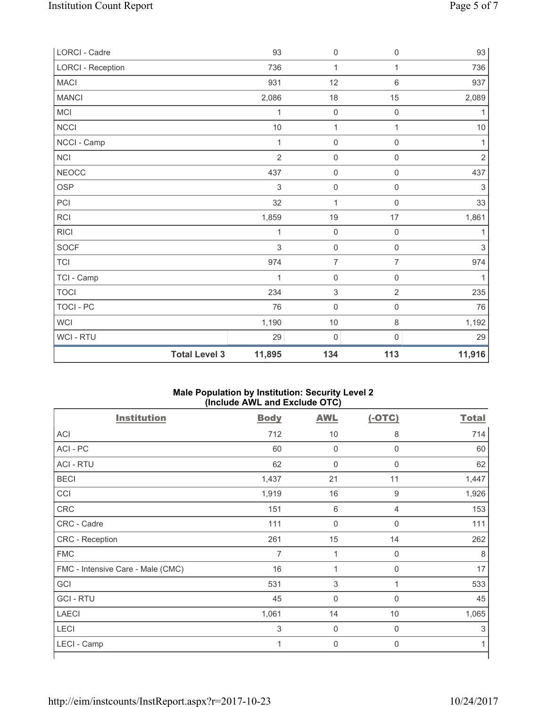| <b>Total Level 3</b>     | 11,895         | 134                       | 113                 | 11,916         |
|--------------------------|----------------|---------------------------|---------------------|----------------|
| WCI - RTU                | 29             | $\mathsf{O}\xspace$       | 0                   | 29             |
| WCI                      | 1,190          | $10$                      | 8                   | 1,192          |
| <b>TOCI - PC</b>         | 76             | $\mathsf{O}\xspace$       | $\mathsf{O}\xspace$ | 76             |
| <b>TOCI</b>              | 234            | $\ensuremath{\mathsf{3}}$ | $\overline{2}$      | 235            |
| TCI - Camp               | 1              | $\mathbf 0$               | $\mathsf 0$         | 1              |
| <b>TCI</b>               | 974            | $\overline{7}$            | $\overline{7}$      | 974            |
| SOCF                     | 3              | $\mathsf{O}\xspace$       | $\mathsf{O}\xspace$ | $\sqrt{3}$     |
| <b>RICI</b>              | 1              | $\mathsf{O}\xspace$       | $\boldsymbol{0}$    | 1              |
| RCI                      | 1,859          | 19                        | 17                  | 1,861          |
| PCI                      | 32             | 1                         | $\mathsf 0$         | 33             |
| <b>OSP</b>               | 3              | $\mathsf{O}\xspace$       | $\mathsf 0$         | $\sqrt{3}$     |
| <b>NEOCC</b>             | 437            | $\mathsf{O}\xspace$       | 0                   | 437            |
| NCI                      | $\overline{2}$ | $\mathsf{O}\xspace$       | $\mathsf{O}\xspace$ | $\overline{2}$ |
| NCCI - Camp              | 1              | $\mathsf{O}\xspace$       | 0                   | 1              |
| NCCI                     | $10$           | $\mathbf 1$               | $\mathbf{1}$        | $10$           |
| MCI                      | 1              | $\mathsf{O}\xspace$       | $\mathsf{O}\xspace$ | 1              |
| <b>MANCI</b>             | 2,086          | 18                        | 15                  | 2,089          |
| <b>MACI</b>              | 931            | 12                        | 6                   | 937            |
| <b>LORCI - Reception</b> | 736            | $\mathbf{1}$              | $\mathbf{1}$        | 736            |
| LORCI - Cadre            | 93             | $\mathsf{O}\xspace$       | $\mathsf{O}\xspace$ | 93             |

## **Male Population by Institution: Security Level 2 (Include AWL and Exclude OTC)**

| <b>Institution</b>                | <b>Body</b>               | <b>AWL</b>     | $(-OTC)$     | <b>Total</b> |
|-----------------------------------|---------------------------|----------------|--------------|--------------|
| <b>ACI</b>                        | 712                       | 10             | 8            | 714          |
| ACI - PC                          | 60                        | $\overline{0}$ | $\mathbf 0$  | 60           |
| <b>ACI - RTU</b>                  | 62                        | $\mathbf 0$    | $\mathbf 0$  | 62           |
| <b>BECI</b>                       | 1,437                     | 21             | 11           | 1,447        |
| CCI                               | 1,919                     | 16             | 9            | 1,926        |
| <b>CRC</b>                        | 151                       | $\,6\,$        | 4            | 153          |
| CRC - Cadre                       | 111                       | $\mathbf 0$    | $\mathbf 0$  | 111          |
| CRC - Reception                   | 261                       | 15             | 14           | 262          |
| <b>FMC</b>                        | 7                         | 1              | $\mathbf 0$  | 8            |
| FMC - Intensive Care - Male (CMC) | 16                        | 1              | $\mathbf 0$  | 17           |
| GCI                               | 531                       | 3              | 1            | 533          |
| <b>GCI-RTU</b>                    | 45                        | $\mathbf 0$    | $\mathbf 0$  | 45           |
| <b>LAECI</b>                      | 1,061                     | 14             | $10$         | 1,065        |
| LECI                              | $\ensuremath{\mathsf{3}}$ | $\mathbf 0$    | 0            | 3            |
| LECI - Camp                       | 1                         | $\mathbf 0$    | $\mathsf{0}$ | 1            |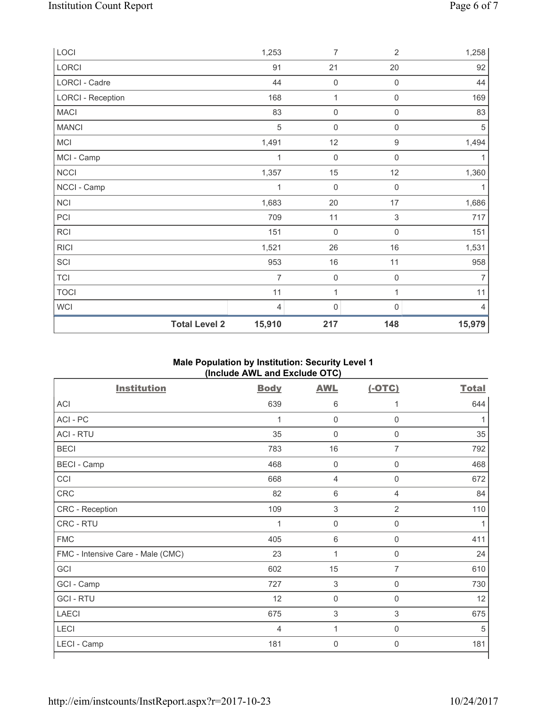| LOCI                     | 1,253                          | 7                   | $\overline{2}$      | 1,258          |
|--------------------------|--------------------------------|---------------------|---------------------|----------------|
| LORCI                    | 91                             | 21                  | 20                  | 92             |
| LORCI - Cadre            | 44                             | $\mathbf 0$         | 0                   | 44             |
| <b>LORCI - Reception</b> | 168                            | $\mathbf 1$         | $\boldsymbol{0}$    | 169            |
| <b>MACI</b>              | 83                             | $\mathsf{O}\xspace$ | $\mathsf{O}\xspace$ | 83             |
| <b>MANCI</b>             | 5                              | $\mathbf 0$         | $\mathsf{O}\xspace$ | $\sqrt{5}$     |
| MCI                      | 1,491                          | 12                  | $\mathsf g$         | 1,494          |
| MCI - Camp               | 1                              | $\mathbf 0$         | $\mathsf 0$         | 1              |
| NCCI                     | 1,357                          | 15                  | 12                  | 1,360          |
| NCCI - Camp              | 1                              | 0                   | $\boldsymbol{0}$    | 1              |
| NCI                      | 1,683                          | 20                  | 17                  | 1,686          |
| PCI                      | 709                            | 11                  | 3                   | 717            |
| RCI                      | 151                            | $\mathbf 0$         | $\mathsf 0$         | 151            |
| <b>RICI</b>              | 1,521                          | 26                  | 16                  | 1,531          |
| SCI                      | 953                            | 16                  | 11                  | 958            |
| <b>TCI</b>               | $\overline{7}$                 | $\mathbf 0$         | $\mathbf 0$         | $\overline{7}$ |
| <b>TOCI</b>              | 11                             | 1                   | 1                   | 11             |
| WCI                      | 4                              | $\mathsf{O}\xspace$ | 0                   | $\overline{4}$ |
|                          | <b>Total Level 2</b><br>15,910 | 217                 | 148                 | 15,979         |

# **Male Population by Institution: Security Level 1 (Include AWL and Exclude OTC)**

| <b>Institution</b>                | <b>Body</b>    | <b>AWL</b>     | $(-OTC)$            | <b>Total</b> |
|-----------------------------------|----------------|----------------|---------------------|--------------|
| <b>ACI</b>                        | 639            | $\,6\,$        | 1                   | 644          |
| ACI - PC                          | 1              | $\mathbf 0$    | $\mathbf 0$         |              |
| <b>ACI - RTU</b>                  | 35             | $\mathbf 0$    | $\mathbf 0$         | 35           |
| <b>BECI</b>                       | 783            | 16             | $\overline{7}$      | 792          |
| <b>BECI</b> - Camp                | 468            | $\mathbf 0$    | $\mathbf 0$         | 468          |
| CCI                               | 668            | $\overline{4}$ | $\boldsymbol{0}$    | 672          |
| CRC                               | 82             | $\,6\,$        | 4                   | 84           |
| CRC - Reception                   | 109            | $\sqrt{3}$     | $\overline{2}$      | 110          |
| CRC - RTU                         | 1              | $\mathsf 0$    | $\mathbf 0$         |              |
| <b>FMC</b>                        | 405            | $\,6\,$        | $\mathbf 0$         | 411          |
| FMC - Intensive Care - Male (CMC) | 23             | 1              | $\mathbf 0$         | 24           |
| GCI                               | 602            | 15             | $\overline{7}$      | 610          |
| GCI - Camp                        | 727            | $\sqrt{3}$     | $\mathsf{O}\xspace$ | 730          |
| <b>GCI-RTU</b>                    | 12             | $\pmb{0}$      | $\mathbf 0$         | 12           |
| <b>LAECI</b>                      | 675            | $\sqrt{3}$     | 3                   | 675          |
| <b>LECI</b>                       | $\overline{4}$ | 1              | $\mathbf 0$         | 5            |
| LECI - Camp                       | 181            | $\mathbf 0$    | $\mathsf{0}$        | 181          |